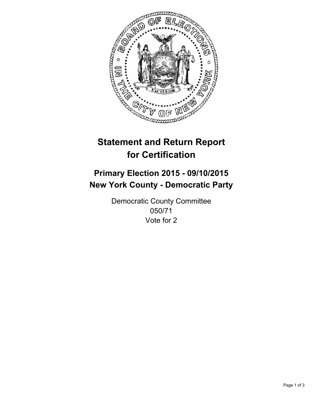

# **Statement and Return Report for Certification**

## **Primary Election 2015 - 09/10/2015 New York County - Democratic Party**

Democratic County Committee 050/71 Vote for 2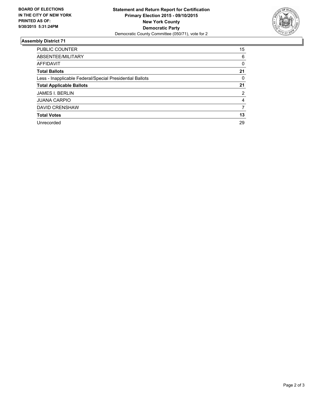

#### **Assembly District 71**

| <b>PUBLIC COUNTER</b>                                    | 15 |
|----------------------------------------------------------|----|
| ABSENTEE/MILITARY                                        | 6  |
| <b>AFFIDAVIT</b>                                         | 0  |
| <b>Total Ballots</b>                                     | 21 |
| Less - Inapplicable Federal/Special Presidential Ballots | 0  |
| <b>Total Applicable Ballots</b>                          | 21 |
| <b>JAMES I. BERLIN</b>                                   | 2  |
| <b>JUANA CARPIO</b>                                      | 4  |
| <b>DAVID CRENSHAW</b>                                    | 7  |
| <b>Total Votes</b>                                       | 13 |
| Unrecorded                                               | 29 |